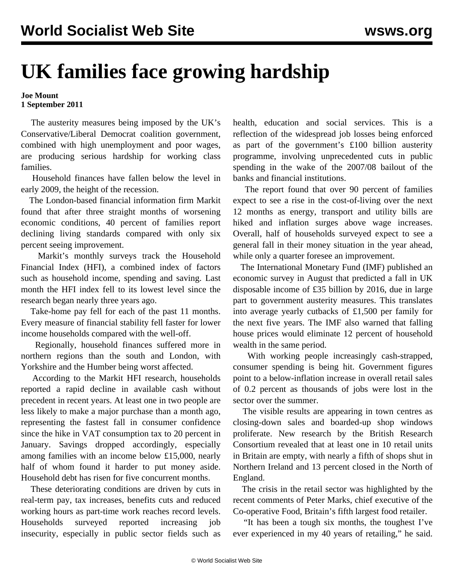## **UK families face growing hardship**

## **Joe Mount 1 September 2011**

 The austerity measures being imposed by the UK's Conservative/Liberal Democrat coalition government, combined with high unemployment and poor wages, are producing serious hardship for working class families.

 Household finances have fallen below the level in early 2009, the height of the recession.

 The London-based financial information firm Markit found that after three straight months of worsening economic conditions, 40 percent of families report declining living standards compared with only six percent seeing improvement.

 Markit's monthly surveys track the Household Financial Index (HFI), a combined index of factors such as household income, spending and saving. Last month the HFI index fell to its lowest level since the research began nearly three years ago.

 Take-home pay fell for each of the past 11 months. Every measure of financial stability fell faster for lower income households compared with the well-off.

 Regionally, household finances suffered more in northern regions than the south and London, with Yorkshire and the Humber being worst affected.

 According to the Markit HFI research, households reported a rapid decline in available cash without precedent in recent years. At least one in two people are less likely to make a major purchase than a month ago, representing the fastest fall in consumer confidence since the hike in VAT consumption tax to 20 percent in January. Savings dropped accordingly, especially among families with an income below £15,000, nearly half of whom found it harder to put money aside. Household debt has risen for five concurrent months.

 These deteriorating conditions are driven by cuts in real-term pay, tax increases, benefits cuts and reduced working hours as part-time work reaches record levels. Households surveyed reported increasing job insecurity, especially in public sector fields such as

health, education and social services. This is a reflection of the widespread job losses being enforced as part of the government's £100 billion austerity programme, involving unprecedented cuts in public spending in the wake of the 2007/08 bailout of the banks and financial institutions.

 The report found that over 90 percent of families expect to see a rise in the cost-of-living over the next 12 months as energy, transport and utility bills are hiked and inflation surges above wage increases. Overall, half of households surveyed expect to see a general fall in their money situation in the year ahead, while only a quarter foresee an improvement.

 The International Monetary Fund (IMF) published an economic survey in August that predicted a fall in UK disposable income of £35 billion by 2016, due in large part to government austerity measures. This translates into average yearly cutbacks of £1,500 per family for the next five years. The IMF also warned that falling house prices would eliminate 12 percent of household wealth in the same period.

 With working people increasingly cash-strapped, consumer spending is being hit. Government figures point to a below-inflation increase in overall retail sales of 0.2 percent as thousands of jobs were lost in the sector over the summer.

 The visible results are appearing in town centres as closing-down sales and boarded-up shop windows proliferate. New research by the British Research Consortium revealed that at least one in 10 retail units in Britain are empty, with nearly a fifth of shops shut in Northern Ireland and 13 percent closed in the North of England.

 The crisis in the retail sector was highlighted by the recent comments of Peter Marks, chief executive of the Co-operative Food, Britain's fifth largest food retailer.

 "It has been a tough six months, the toughest I've ever experienced in my 40 years of retailing," he said.